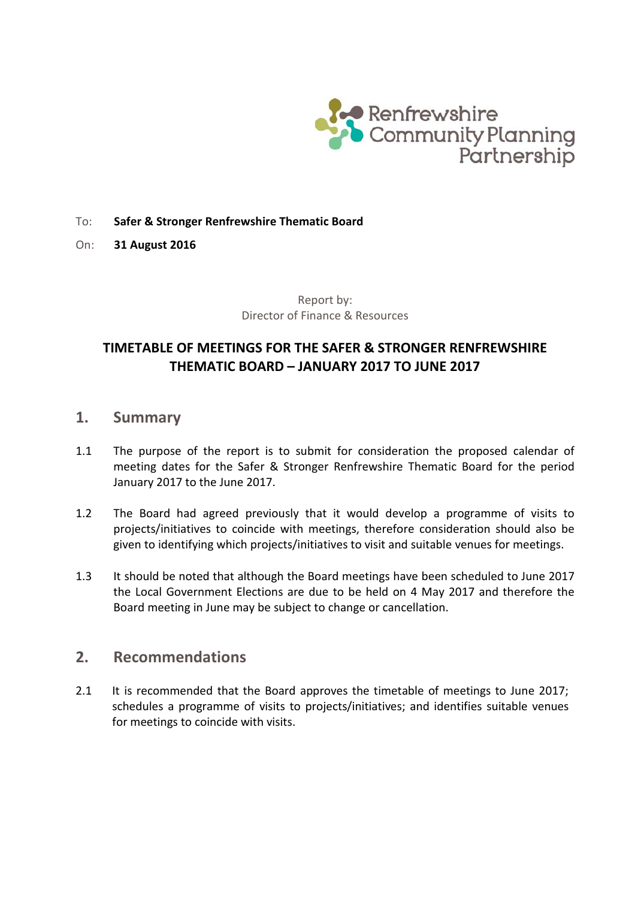

## To: **Safer & Stronger Renfrewshire Thematic Board**

On: **31 August 2016**

Report by: Director of Finance & Resources

## **TIMETABLE OF MEETINGS FOR THE SAFER & STRONGER RENFREWSHIRE THEMATIC BOARD – JANUARY 2017 TO JUNE 2017**

- **1. Summary**
- 1.1 The purpose of the report is to submit for consideration the proposed calendar of meeting dates for the Safer & Stronger Renfrewshire Thematic Board for the period January 2017 to the June 2017.
- 1.2 The Board had agreed previously that it would develop a programme of visits to projects/initiatives to coincide with meetings, therefore consideration should also be given to identifying which projects/initiatives to visit and suitable venues for meetings.
- 1.3 It should be noted that although the Board meetings have been scheduled to June 2017 the Local Government Elections are due to be held on 4 May 2017 and therefore the Board meeting in June may be subject to change or cancellation.

## **2. Recommendations**

2.1 It is recommended that the Board approves the timetable of meetings to June 2017; schedules a programme of visits to projects/initiatives; and identifies suitable venues for meetings to coincide with visits.